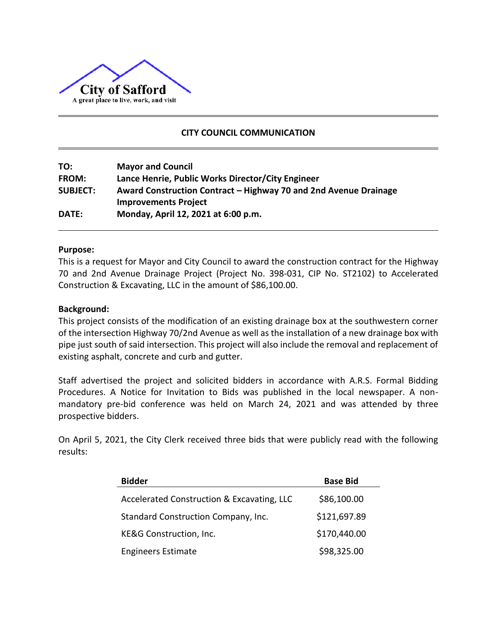

# **CITY COUNCIL COMMUNICATION**

| TO:             | <b>Mayor and Council</b>                                         |
|-----------------|------------------------------------------------------------------|
| <b>FROM:</b>    | Lance Henrie, Public Works Director/City Engineer                |
| <b>SUBJECT:</b> | Award Construction Contract – Highway 70 and 2nd Avenue Drainage |
|                 | <b>Improvements Project</b>                                      |
| <b>DATE:</b>    | Monday, April 12, 2021 at 6:00 p.m.                              |

### **Purpose:**

This is a request for Mayor and City Council to award the construction contract for the Highway 70 and 2nd Avenue Drainage Project (Project No. 398-031, CIP No. ST2102) to Accelerated Construction & Excavating, LLC in the amount of \$86,100.00.

### **Background:**

This project consists of the modification of an existing drainage box at the southwestern corner of the intersection Highway 70/2nd Avenue as well as the installation of a new drainage box with pipe just south of said intersection. This project will also include the removal and replacement of existing asphalt, concrete and curb and gutter.

Staff advertised the project and solicited bidders in accordance with A.R.S. Formal Bidding Procedures. A Notice for Invitation to Bids was published in the local newspaper. A nonmandatory pre-bid conference was held on March 24, 2021 and was attended by three prospective bidders.

On April 5, 2021, the City Clerk received three bids that were publicly read with the following results:

| <b>Bidder</b>                              | <b>Base Bid</b> |  |  |  |  |  |  |  |
|--------------------------------------------|-----------------|--|--|--|--|--|--|--|
| Accelerated Construction & Excavating, LLC | \$86,100.00     |  |  |  |  |  |  |  |
| Standard Construction Company, Inc.        | \$121,697.89    |  |  |  |  |  |  |  |
| KE&G Construction, Inc.                    | \$170,440.00    |  |  |  |  |  |  |  |
| <b>Engineers Estimate</b>                  | \$98,325.00     |  |  |  |  |  |  |  |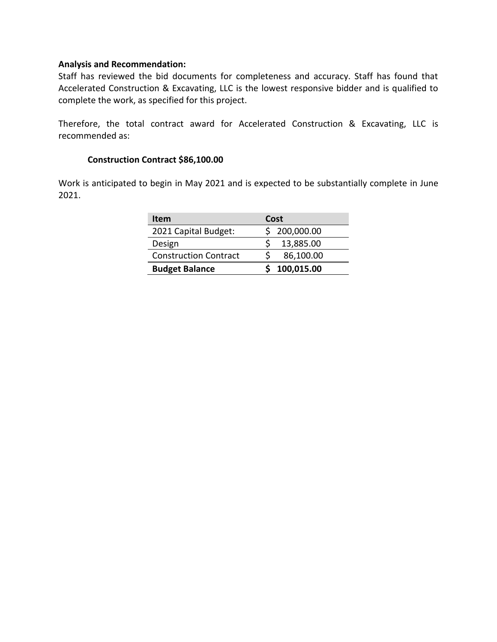# **Analysis and Recommendation:**

Staff has reviewed the bid documents for completeness and accuracy. Staff has found that Accelerated Construction & Excavating, LLC is the lowest responsive bidder and is qualified to complete the work, as specified for this project.

Therefore, the total contract award for Accelerated Construction & Excavating, LLC is recommended as:

# **Construction Contract \$86,100.00**

Work is anticipated to begin in May 2021 and is expected to be substantially complete in June 2021.

| <b>Item</b>                  | Cost         |
|------------------------------|--------------|
| 2021 Capital Budget:         | \$200,000.00 |
| Design                       | 13,885.00    |
| <b>Construction Contract</b> | 86,100.00    |
| <b>Budget Balance</b>        | 100,015.00   |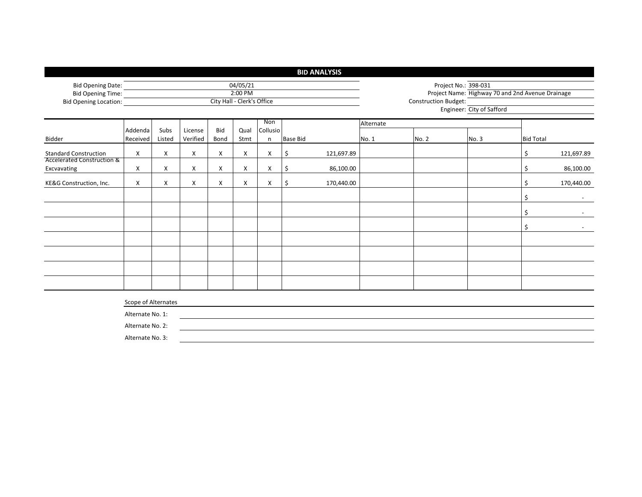|                                                                       |                     |                                       |                     |             |              |                          | <b>BID ANALYSIS</b> |            |       |                             |                           |                                                  |            |  |  |  |
|-----------------------------------------------------------------------|---------------------|---------------------------------------|---------------------|-------------|--------------|--------------------------|---------------------|------------|-------|-----------------------------|---------------------------|--------------------------------------------------|------------|--|--|--|
| <b>Bid Opening Date:</b><br><b>Bid Opening Time:</b>                  | 04/05/21            |                                       |                     |             |              |                          |                     |            |       |                             | Project No.: 398-031      |                                                  |            |  |  |  |
| <b>Bid Opening Location:</b>                                          |                     | 2:00 PM<br>City Hall - Clerk's Office |                     |             |              |                          |                     |            |       | <b>Construction Budget:</b> | Engineer: City of Safford | Project Name: Highway 70 and 2nd Avenue Drainage |            |  |  |  |
|                                                                       |                     | Non<br>Alternate                      |                     |             |              |                          |                     |            |       |                             |                           |                                                  |            |  |  |  |
| Bidder                                                                | Addenda<br>Received | Subs<br>Listed                        | License<br>Verified | Bid<br>Bond | Qual<br>Stmt | Collusio<br>$\mathsf{n}$ | <b>Base Bid</b>     |            | No. 1 | No. 2                       | No.3                      | <b>Bid Total</b>                                 |            |  |  |  |
| <b>Standard Construction</b><br><b>Accelerated Construction &amp;</b> | X                   | X                                     | X                   | X           | X            | Χ                        | \$                  | 121,697.89 |       |                             |                           | \$                                               | 121,697.89 |  |  |  |
| Excvavating                                                           | X                   | Χ                                     | X                   | X           | X            | Χ                        | \$                  | 86,100.00  |       |                             |                           | \$                                               | 86,100.00  |  |  |  |
| KE&G Construction, Inc.                                               | X                   | Χ                                     | X                   | X           | X            | Χ                        | \$                  | 170,440.00 |       |                             |                           | \$                                               | 170,440.00 |  |  |  |
|                                                                       |                     |                                       |                     |             |              |                          |                     |            |       |                             |                           | \$                                               |            |  |  |  |
|                                                                       |                     |                                       |                     |             |              |                          |                     |            |       |                             |                           | \$                                               |            |  |  |  |
|                                                                       |                     |                                       |                     |             |              |                          |                     |            |       |                             |                           | \$                                               |            |  |  |  |
|                                                                       |                     |                                       |                     |             |              |                          |                     |            |       |                             |                           |                                                  |            |  |  |  |
|                                                                       |                     |                                       |                     |             |              |                          |                     |            |       |                             |                           |                                                  |            |  |  |  |
|                                                                       |                     |                                       |                     |             |              |                          |                     |            |       |                             |                           |                                                  |            |  |  |  |
|                                                                       |                     |                                       |                     |             |              |                          |                     |            |       |                             |                           |                                                  |            |  |  |  |
|                                                                       | Scope of Alternates |                                       |                     |             |              |                          |                     |            |       |                             |                           |                                                  |            |  |  |  |
|                                                                       | Alternate No. 1:    |                                       |                     |             |              |                          |                     |            |       |                             |                           |                                                  |            |  |  |  |
|                                                                       | Alternate No. 2:    |                                       |                     |             |              |                          |                     |            |       |                             |                           |                                                  |            |  |  |  |
|                                                                       | Alternate No. 3:    |                                       |                     |             |              |                          |                     |            |       |                             |                           |                                                  |            |  |  |  |